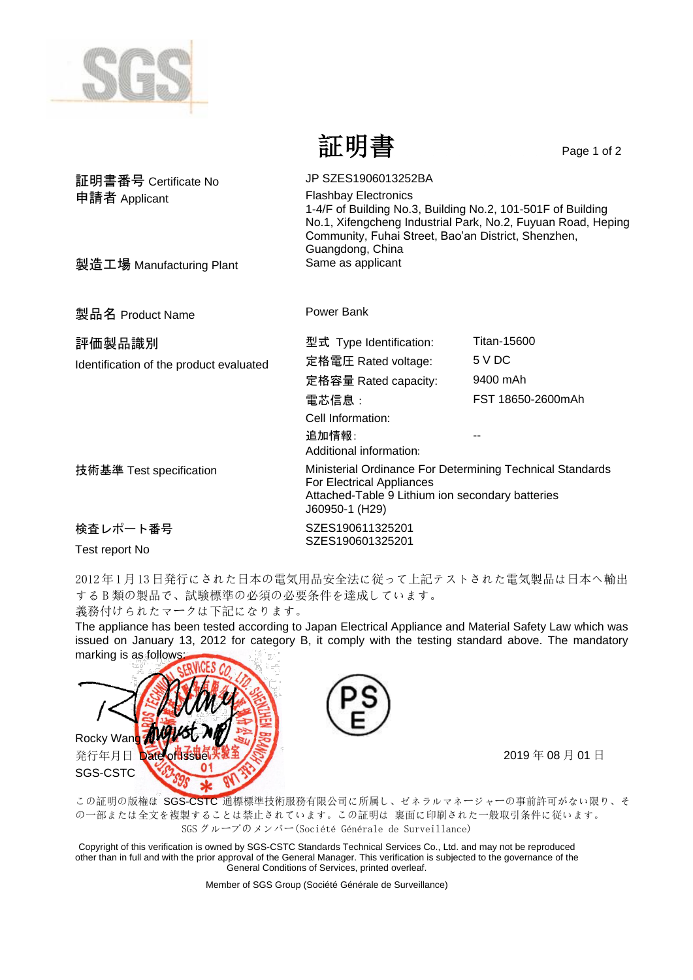

証明書 Page 1 of 2

| 証明書番号 Certificate No                    | JP SZES1906013252BA                                                                                                                                                                                                                   |                    |
|-----------------------------------------|---------------------------------------------------------------------------------------------------------------------------------------------------------------------------------------------------------------------------------------|--------------------|
| 申請者 Applicant                           | <b>Flashbay Electronics</b><br>1-4/F of Building No.3, Building No.2, 101-501F of Building<br>No.1, Xifengcheng Industrial Park, No.2, Fuyuan Road, Heping<br>Community, Fuhai Street, Bao'an District, Shenzhen,<br>Guangdong, China |                    |
| 製造工場 Manufacturing Plant                | Same as applicant                                                                                                                                                                                                                     |                    |
|                                         |                                                                                                                                                                                                                                       |                    |
| 製品名 Product Name                        | Power Bank                                                                                                                                                                                                                            |                    |
| 評価製品識別                                  | 型式 Type Identification:                                                                                                                                                                                                               | <b>Titan-15600</b> |
| Identification of the product evaluated | 定格電圧 Rated voltage:                                                                                                                                                                                                                   | 5 V DC             |
|                                         | 定格容量 Rated capacity:                                                                                                                                                                                                                  | 9400 mAh           |
|                                         | 電芯信息:                                                                                                                                                                                                                                 | FST 18650-2600mAh  |
|                                         | Cell Information:                                                                                                                                                                                                                     |                    |
|                                         | 追加情報:<br>Additional information:                                                                                                                                                                                                      |                    |
| 技術基準 Test specification                 | Ministerial Ordinance For Determining Technical Standards<br><b>For Electrical Appliances</b><br>Attached-Table 9 Lithium ion secondary batteries<br>J60950-1 (H29)                                                                   |                    |
| 検査レポート番号                                | SZES190611325201                                                                                                                                                                                                                      |                    |
| Test report No                          | SZES190601325201                                                                                                                                                                                                                      |                    |

2012年1月13日発行にされた日本の電気用品安全法に従って上記テストされた電気製品は日本へ輸出 する B 類の製品で、試験標準の必須の必要条件を達成しています。

義務付けられたマークは下記になります。

The appliance has been tested according to Japan Electrical Appliance and Material Safety Law which was issued on January 13, 2012 for category B, it comply with the testing standard above. The mandatory marking is as follows





この証明の版権は SGS-CSTC 通標標準技術服務有限公司に所属し、ゼネラルマネージャーの事前許可がない限り、そ の一部または全文を複製することは禁止されています。この証明は 裏面に印刷された一般取引条件に従います。 SGS グループのメンバー(Société Générale de Surveillance)

Copyright of this verification is owned by SGS-CSTC Standards Technical Services Co., Ltd. and may not be reproduced other than in full and with the prior approval of the General Manager. This verification is subjected to the governance of the General Conditions of Services, printed overleaf.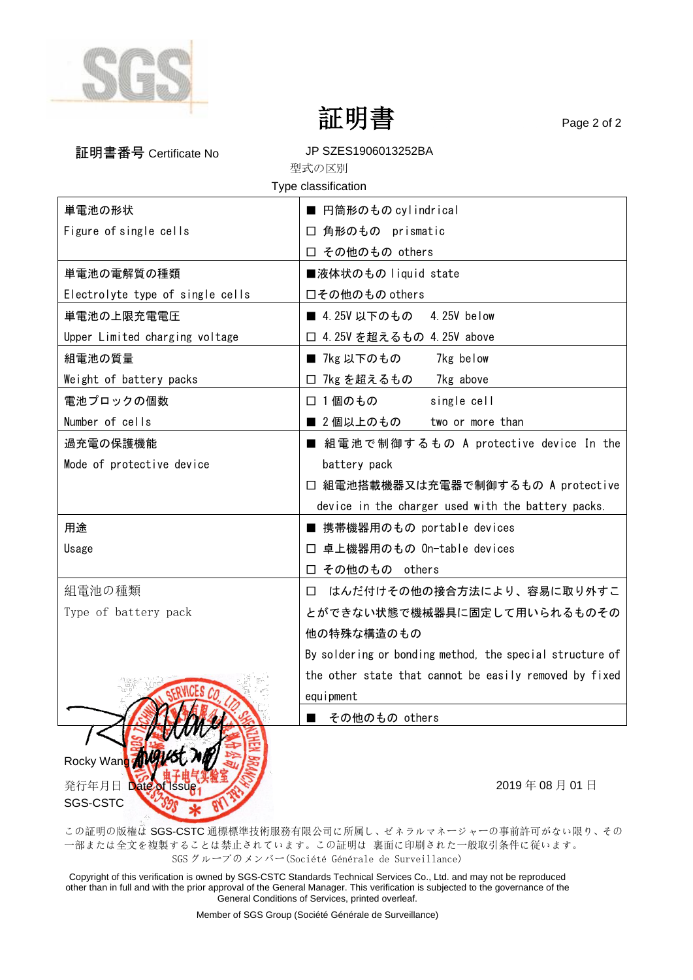

SGS-CSTC

証明書 Page 2 of 2

| 証明書番号 Certificate No             | JP SZES1906013252BA                                      |  |
|----------------------------------|----------------------------------------------------------|--|
| 型式の区別<br>Type classification     |                                                          |  |
| 単電池の形状                           | ■ 円筒形のもの cylindrical                                     |  |
| Figure of single cells           | □ 角形のもの prismatic                                        |  |
|                                  | □ その他のもの others                                          |  |
| 単電池の電解質の種類                       | ■液体状のもの liquid state                                     |  |
| Electrolyte type of single cells | 口その他のもの others                                           |  |
|                                  |                                                          |  |
| 単電池の上限充電電圧                       | ■ 4.25V 以下のもの<br>4.25V below                             |  |
| Upper Limited charging voltage   | □ 4.25V を超えるもの 4.25V above                               |  |
| 組電池の質量                           | ■ 7kg 以下のもの<br>7kg below                                 |  |
| Weight of battery packs          | □ 7kg を超えるもの 7kg above                                   |  |
| 電池プロックの個数                        | □ 1個のもの<br>single cell                                   |  |
| Number of cells                  | ■ 2個以上のもの<br>two or more than                            |  |
| 過充電の保護機能                         | ■ 組電池で制御するもの A protective device In the                  |  |
| Mode of protective device        | battery pack                                             |  |
|                                  | □ 組電池搭載機器又は充電器で制御するもの A protective                       |  |
|                                  | device in the charger used with the battery packs.       |  |
| 用途                               | ■ 携帯機器用のもの portable devices                              |  |
| Usage                            | □ 卓上機器用のもの On-table devices                              |  |
|                                  | □ その他のもの others                                          |  |
| 組電池の種類                           | はんだ付けその他の接合方法により、容易に取り外すこ<br>⊔                           |  |
| Type of battery pack             | とができない状態で機械器具に固定して用いられるものその                              |  |
|                                  | 他の特殊な構造のもの                                               |  |
|                                  | By soldering or bonding method, the special structure of |  |
|                                  | the other state that cannot be easily removed by fixed   |  |
|                                  | equipment                                                |  |
|                                  | その他のもの others                                            |  |
|                                  |                                                          |  |
| Rocky Wang                       |                                                          |  |
| 発行年月日 Date of Issue              | 2019年08月01日                                              |  |

この証明の版権は SGS-CSTC 通標標準技術服務有限公司に所属し、ゼネラルマネージャーの事前許可がない限り、その 一部または全文を複製することは禁止されています。この証明は 裏面に印刷された一般取引条件に従います。 SGS グループのメンバー(Société Générale de Surveillance)

Copyright of this verification is owned by SGS-CSTC Standards Technical Services Co., Ltd. and may not be reproduced other than in full and with the prior approval of the General Manager. This verification is subjected to the governance of the General Conditions of Services, printed overleaf.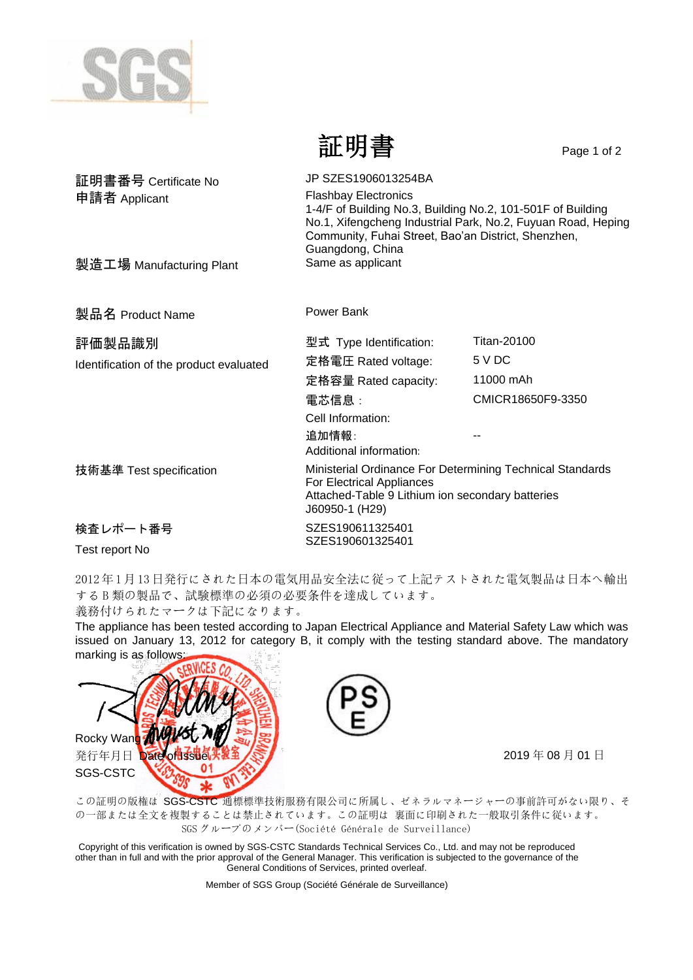

証明書 Page 1 of 2

| 証明書番号 Certificate No                    | JP SZES1906013254BA                                                                                                                                                                                                                   |                   |
|-----------------------------------------|---------------------------------------------------------------------------------------------------------------------------------------------------------------------------------------------------------------------------------------|-------------------|
| 申請者 Applicant                           | <b>Flashbay Electronics</b><br>1-4/F of Building No.3, Building No.2, 101-501F of Building<br>No.1, Xifengcheng Industrial Park, No.2, Fuyuan Road, Heping<br>Community, Fuhai Street, Bao'an District, Shenzhen,<br>Guangdong, China |                   |
| 製造工場 Manufacturing Plant                | Same as applicant                                                                                                                                                                                                                     |                   |
| 製品名 Product Name                        | Power Bank                                                                                                                                                                                                                            |                   |
| 評価製品識別                                  | 型式 Type Identification:                                                                                                                                                                                                               | Titan-20100       |
| Identification of the product evaluated | 定格電圧 Rated voltage:                                                                                                                                                                                                                   | 5 V DC            |
|                                         | 定格容量 Rated capacity:                                                                                                                                                                                                                  | 11000 mAh         |
|                                         | 電芯信息:                                                                                                                                                                                                                                 | CMICR18650F9-3350 |
|                                         | Cell Information:                                                                                                                                                                                                                     |                   |
|                                         | 追加情報:<br>Additional information:                                                                                                                                                                                                      |                   |
| 技術基準 Test specification                 | Ministerial Ordinance For Determining Technical Standards<br>For Electrical Appliances<br>Attached-Table 9 Lithium ion secondary batteries<br>J60950-1 (H29)                                                                          |                   |
| 検査レポート番号                                | SZES190611325401                                                                                                                                                                                                                      |                   |
| Test report No                          | SZES190601325401                                                                                                                                                                                                                      |                   |

2012年1月13日発行にされた日本の電気用品安全法に従って上記テストされた電気製品は日本へ輸出 する B 類の製品で、試験標準の必須の必要条件を達成しています。

義務付けられたマークは下記になります。

The appliance has been tested according to Japan Electrical Appliance and Material Safety Law which was issued on January 13, 2012 for category B, it comply with the testing standard above. The mandatory marking is as follows





この証明の版権は SGS-CSTC 通標標準技術服務有限公司に所属し、ゼネラルマネージャーの事前許可がない限り、そ の一部または全文を複製することは禁止されています。この証明は 裏面に印刷された一般取引条件に従います。 SGS グループのメンバー(Société Générale de Surveillance)

Copyright of this verification is owned by SGS-CSTC Standards Technical Services Co., Ltd. and may not be reproduced other than in full and with the prior approval of the General Manager. This verification is subjected to the governance of the General Conditions of Services, printed overleaf.